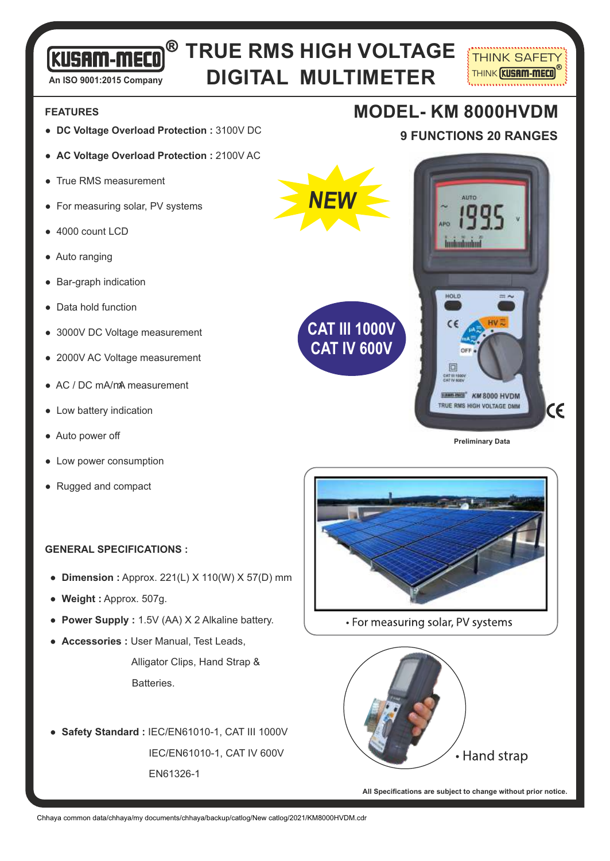# **TRUE RMS HIGH VOLTAGE DIGITAL MULTIMETER**

**NEW**

**FEATURES**

- **DC Voltage Overload Protection :** 3100V DC
- **AC Voltage Overload Protection :** 2100V AC
- True RMS measurement

**An ISO 9001:2015 Company**

**KUSAM-MECO** 

- For measuring solar, PV systems
- 4000 count LCD
- Auto ranging
- Bar-graph indication
- Data hold function
- 3000V DC Voltage measurement
- 2000V AC Voltage measurement
- $\bullet$  AC / DC mA/mA measurement
- Low battery indication
- Auto power off
- Low power consumption
- Rugged and compact

#### **GENERAL SPECIFICATIONS :**

- **Dimension :** Approx. 221(L) X 110(W) X 57(D) mm
- **Weight :** Approx. 507g.
- **Power Supply :** 1.5V (AA) X 2 Alkaline battery.
- **Accessories :** User Manual, Test Leads,

 Alligator Clips, Hand Strap & Batteries.

● **Safety Standard :** IEC/EN61010-1, CAT III 1000V IEC/EN61010-1, CAT IV 600V EN61326-1

## **MODEL- KM 8000HVDM**

**9 FUNCTIONS 20 RANGES**

**THINK SAFETY THINK KUSAM-MECO** 



**Preliminary Data**



• For measuring solar, PV systems



**All Specifications are subject to change without prior notice.**

Chhaya common data/chhaya/my documents/chhaya/backup/catlog/New catlog/2021/KM8000HVDM.cdr